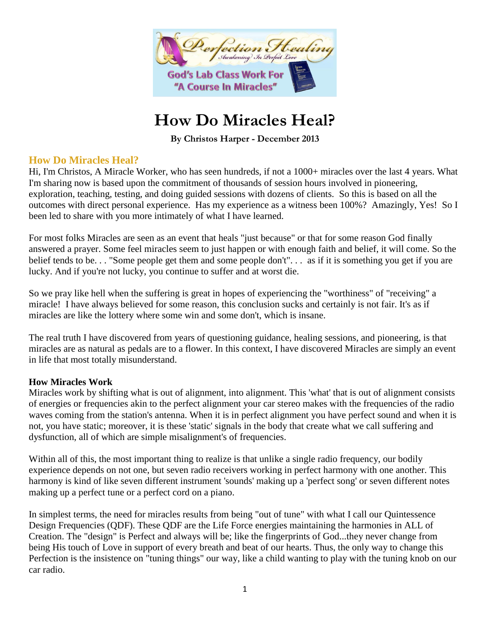

# **How Do Miracles Heal?**

**By Christos Harper - December 2013**

## **How Do Miracles Heal?**

Hi, I'm Christos, A Miracle Worker, who has seen hundreds, if not a 1000+ miracles over the last 4 years. What I'm sharing now is based upon the commitment of thousands of session hours involved in pioneering, exploration, teaching, testing, and doing guided sessions with dozens of clients. So this is based on all the outcomes with direct personal experience. Has my experience as a witness been 100%? Amazingly, Yes! So I been led to share with you more intimately of what I have learned.

For most folks Miracles are seen as an event that heals "just because" or that for some reason God finally answered a prayer. Some feel miracles seem to just happen or with enough faith and belief, it will come. So the belief tends to be... "Some people get them and some people don't"... as if it is something you get if you are lucky. And if you're not lucky, you continue to suffer and at worst die.

So we pray like hell when the suffering is great in hopes of experiencing the "worthiness" of "receiving" a miracle! I have always believed for some reason, this conclusion sucks and certainly is not fair. It's as if miracles are like the lottery where some win and some don't, which is insane.

The real truth I have discovered from years of questioning guidance, healing sessions, and pioneering, is that miracles are as natural as pedals are to a flower. In this context, I have discovered Miracles are simply an event in life that most totally misunderstand.

## **How Miracles Work**

Miracles work by shifting what is out of alignment, into alignment. This 'what' that is out of alignment consists of energies or frequencies akin to the perfect alignment your car stereo makes with the frequencies of the radio waves coming from the station's antenna. When it is in perfect alignment you have perfect sound and when it is not, you have static; moreover, it is these 'static' signals in the body that create what we call suffering and dysfunction, all of which are simple misalignment's of frequencies.

Within all of this, the most important thing to realize is that unlike a single radio frequency, our bodily experience depends on not one, but seven radio receivers working in perfect harmony with one another. This harmony is kind of like seven different instrument 'sounds' making up a 'perfect song' or seven different notes making up a perfect tune or a perfect cord on a piano.

In simplest terms, the need for miracles results from being "out of tune" with what I call our Quintessence Design Frequencies (QDF). These QDF are the Life Force energies maintaining the harmonies in ALL of Creation. The "design" is Perfect and always will be; like the fingerprints of God...they never change from being His touch of Love in support of every breath and beat of our hearts. Thus, the only way to change this Perfection is the insistence on "tuning things" our way, like a child wanting to play with the tuning knob on our car radio.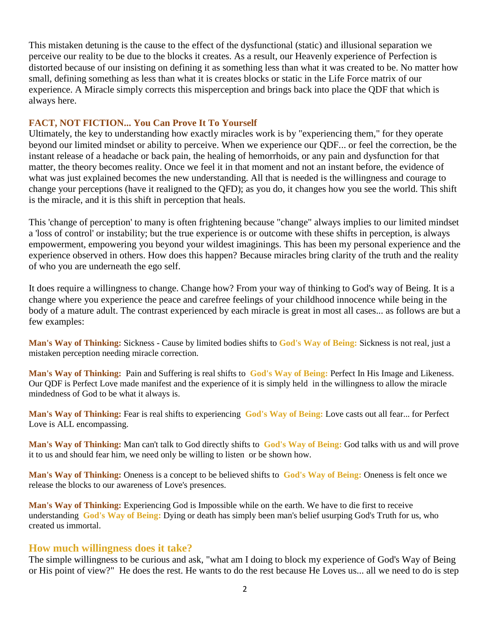This mistaken detuning is the cause to the effect of the dysfunctional (static) and illusional separation we perceive our reality to be due to the blocks it creates. As a result, our Heavenly experience of Perfection is distorted because of our insisting on defining it as something less than what it was created to be. No matter how small, defining something as less than what it is creates blocks or static in the Life Force matrix of our experience. A Miracle simply corrects this misperception and brings back into place the QDF that which is always here.

### **FACT, NOT FICTION... You Can Prove It To Yourself**

Ultimately, the key to understanding how exactly miracles work is by "experiencing them," for they operate beyond our limited mindset or ability to perceive. When we experience our QDF... or feel the correction, be the instant release of a headache or back pain, the healing of hemorrhoids, or any pain and dysfunction for that matter, the theory becomes reality. Once we feel it in that moment and not an instant before, the evidence of what was just explained becomes the new understanding. All that is needed is the willingness and courage to change your perceptions (have it realigned to the QFD); as you do, it changes how you see the world. This shift is the miracle, and it is this shift in perception that heals.

This 'change of perception' to many is often frightening because "change" always implies to our limited mindset a 'loss of control' or instability; but the true experience is or outcome with these shifts in perception, is always empowerment, empowering you beyond your wildest imaginings. This has been my personal experience and the experience observed in others. How does this happen? Because miracles bring clarity of the truth and the reality of who you are underneath the ego self.

It does require a willingness to change. Change how? From your way of thinking to God's way of Being. It is a change where you experience the peace and carefree feelings of your childhood innocence while being in the body of a mature adult. The contrast experienced by each miracle is great in most all cases... as follows are but a few examples:

**Man's Way of Thinking:** Sickness - Cause by limited bodies shifts to **God's Way of Being:** Sickness is not real, just a mistaken perception needing miracle correction.

**Man's Way of Thinking:** Pain and Suffering is real shifts to **God's Way of Being:** Perfect In His Image and Likeness. Our QDF is Perfect Love made manifest and the experience of it is simply held in the willingness to allow the miracle mindedness of God to be what it always is.

**Man's Way of Thinking:** Fear is real shifts to experiencing **God's Way of Being:** Love casts out all fear... for Perfect Love is ALL encompassing.

**Man's Way of Thinking:** Man can't talk to God directly shifts to **God's Way of Being:** God talks with us and will prove it to us and should fear him, we need only be willing to listen or be shown how.

**Man's Way of Thinking:** Oneness is a concept to be believed shifts to **God's Way of Being:** Oneness is felt once we release the blocks to our awareness of Love's presences.

**Man's Way of Thinking:** Experiencing God is Impossible while on the earth. We have to die first to receive understanding **God's Way of Being:** Dying or death has simply been man's belief usurping God's Truth for us, who created us immortal.

#### **How much willingness does it take?**

The simple willingness to be curious and ask, "what am I doing to block my experience of God's Way of Being or His point of view?" He does the rest. He wants to do the rest because He Loves us... all we need to do is step